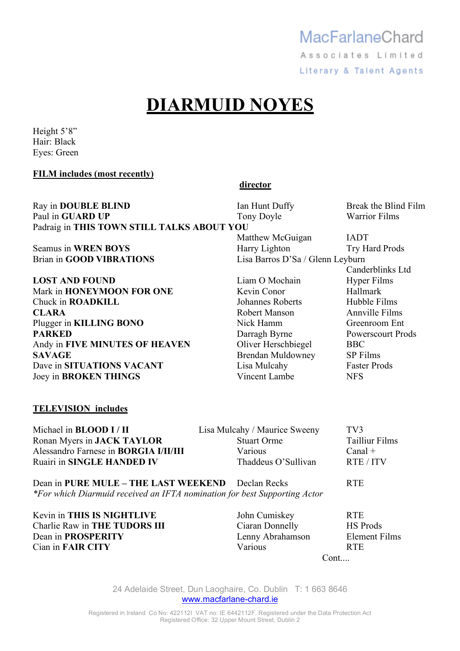### MacFarlaneChard Associates Limited

Literary & Talent Agents

## **DIARMUID NOYES**

Height 5'8" Hair: Black Eyes: Green

**FILM includes (most recently)** 

|                                            | director                         |                          |
|--------------------------------------------|----------------------------------|--------------------------|
| Ray in DOUBLE BLIND                        | Ian Hunt Duffy                   | Break the Blind Film     |
| Paul in GUARD UP                           | Tony Doyle                       | <b>Warrior Films</b>     |
| Padraig in THIS TOWN STILL TALKS ABOUT YOU |                                  |                          |
|                                            | Matthew McGuigan                 | <b>IADT</b>              |
| Seamus in WREN BOYS                        | Harry Lighton                    | <b>Try Hard Prods</b>    |
| <b>Brian in GOOD VIBRATIONS</b>            | Lisa Barros D'Sa / Glenn Leyburn |                          |
|                                            |                                  | Canderblinks Ltd         |
| <b>LOST AND FOUND</b>                      | Liam O Mochain                   | <b>Hyper Films</b>       |
| Mark in HONEYMOON FOR ONE                  | Kevin Conor                      | Hallmark                 |
| Chuck in <b>ROADKILL</b>                   | Johannes Roberts                 | Hubble Films             |
| <b>CLARA</b>                               | <b>Robert Manson</b>             | <b>Annville Films</b>    |
| Plugger in KILLING BONO                    | Nick Hamm                        | Greenroom Ent            |
| <b>PARKED</b>                              | Darragh Byrne                    | <b>Powerscourt Prods</b> |
| Andy in FIVE MINUTES OF HEAVEN             | Oliver Herschbiegel              | <b>BBC</b>               |
| <b>SAVAGE</b>                              | Brendan Muldowney                | <b>SP</b> Films          |
| Dave in SITUATIONS VACANT                  | Lisa Mulcahy                     | <b>Faster Prods</b>      |
| Joey in <b>BROKEN THINGS</b>               | Vincent Lambe                    | <b>NFS</b>               |
| <b>TELEVISION</b> includes                 |                                  |                          |
|                                            |                                  |                          |

Michael in **BLOOD I / II** Lisa Mulcahy / Maurice Sweeny TV3 Ronan Myers in **JACK TAYLOR** Stuart Orme Tailliur Films<br>Alessandro Farnese in **BORGIA I/II/III** Various Canal + Alessandro Farnese in **BORGIA I/II/III** Various Canal + Canal + Canal + Canal + Canal + Canal + Canal + Canal + Canal + Canal + Canal + Canal + Canal + Canal + Canal + Canal + Canal + Canal + Canal + Canal + Canal + Canal Ruairi in **SINGLE HANDED IV** 

Dean in **PURE MULE – THE LAST WEEKEND** Declan Recks RTE *\*For which Diarmuid received an IFTA nomination for best Supporting Actor* 

Kevin in **THIS IS NIGHTLIVE** John Cumiskey RTE Charlie Raw in **THE TUDORS III** Ciaran Donnelly HS Prods Dean in **PROSPERITY** Lenny Abrahamson Element Films **Cian in FAIR CITY** Various **Various** RTE

Cont....

24 Adelaide Street, Dun Laoghaire, Co. Dublin T: 1 663 8646 www.macfarlane-chard.ie